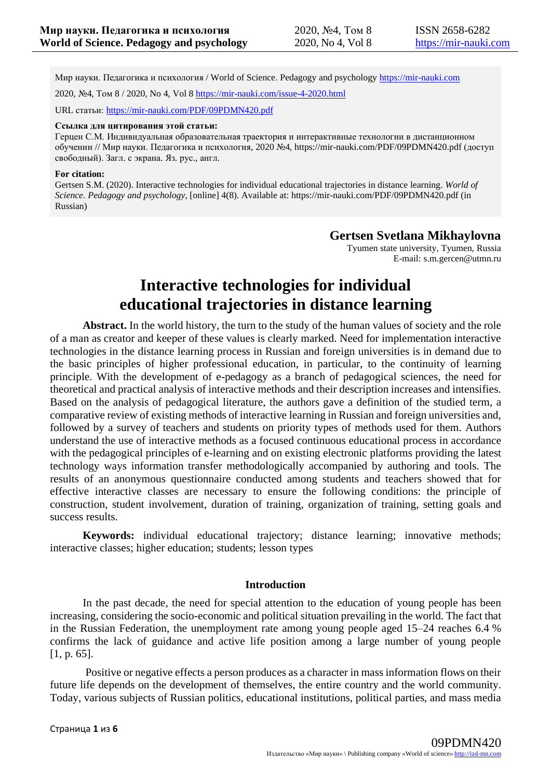Мир науки. Педагогика и психология / World of Science. Pedagogy and psychology [https://mir-nauki.com](https://mir-nauki.com/)

2020, №4, Том 8 / 2020, No 4, Vol 8 <https://mir-nauki.com/issue-4-2020.html>

URL статьи: <https://mir-nauki.com/PDF/09PDMN420.pdf>

#### **Ссылка для цитирования этой статьи:**

Герцен С.М. Индивидуальная образовательная траектория и интерактивные технологии в дистанционном обучении // Мир науки. Педагогика и психология, 2020 №4, https://mir-nauki.com/PDF/09PDMN420.pdf (доступ свободный). Загл. с экрана. Яз. рус., англ.

#### **For citation:**

Gertsen S.M. (2020). Interactive technologies for individual educational trajectories in distance learning. *World of Science. Pedagogy and psychology*, [online] 4(8). Available at: https://mir-nauki.com/PDF/09PDMN420.pdf (in Russian)

### **Gertsen Svetlana Mikhaylovna**

Tyumen state university, Tyumen, Russia E-mail: s.m.gercen@utmn.ru

# **Interactive technologies for individual educational trajectories in distance learning**

**Abstract.** In the world history, the turn to the study of the human values of society and the role of a man as creator and keeper of these values is clearly marked. Need for implementation interactive technologies in the distance learning process in Russian and foreign universities is in demand due to the basic principles of higher professional education, in particular, to the continuity of learning principle. With the development of e-pedagogy as a branch of pedagogical sciences, the need for theoretical and practical analysis of interactive methods and their description increases and intensifies. Based on the analysis of pedagogical literature, the authors gave a definition of the studied term, a comparative review of existing methods of interactive learning in Russian and foreign universities and, followed by a survey of teachers and students on priority types of methods used for them. Authors understand the use of interactive methods as a focused continuous educational process in accordance with the pedagogical principles of e-learning and on existing electronic platforms providing the latest technology ways information transfer methodologically accompanied by authoring and tools. The results of an anonymous questionnaire conducted among students and teachers showed that for effective interactive classes are necessary to ensure the following conditions: the principle of construction, student involvement, duration of training, organization of training, setting goals and success results.

**Keywords:** individual educational trajectory; distance learning; innovative methods; interactive classes; higher education; students; lesson types

#### **Introduction**

In the past decade, the need for special attention to the education of young people has been increasing, considering the socio-economic and political situation prevailing in the world. The fact that in the Russian Federation, the unemployment rate among young people aged 15–24 reaches 6.4 % confirms the lack of guidance and active life position among a large number of young people [1, p. 65].

Positive or negative effects a person produces as a character in mass information flows on their future life depends on the development of themselves, the entire country and the world community. Today, various subjects of Russian politics, educational institutions, political parties, and mass media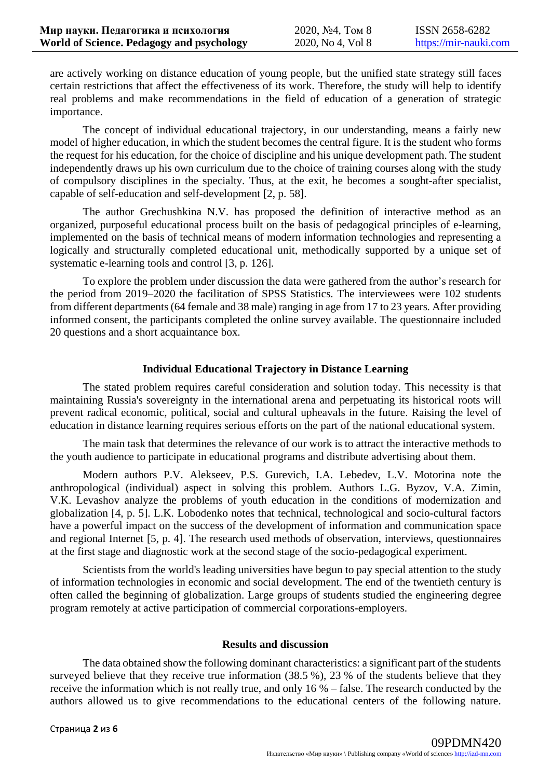are actively working on distance education of young people, but the unified state strategy still faces certain restrictions that affect the effectiveness of its work. Therefore, the study will help to identify real problems and make recommendations in the field of education of a generation of strategic importance.

The concept of individual educational trajectory, in our understanding, means a fairly new model of higher education, in which the student becomes the central figure. It is the student who forms the request for his education, for the choice of discipline and his unique development path. The student independently draws up his own curriculum due to the choice of training courses along with the study of compulsory disciplines in the specialty. Thus, at the exit, he becomes a sought-after specialist, capable of self-education and self-development [2, p. 58].

The author Grechushkina N.V. has proposed the definition of interactive method as an organized, purposeful educational process built on the basis of pedagogical principles of e-learning, implemented on the basis of technical means of modern information technologies and representing a logically and structurally completed educational unit, methodically supported by a unique set of systematic e-learning tools and control [3, p. 126].

To explore the problem under discussion the data were gathered from the author's research for the period from 2019–2020 the facilitation of SPSS Statistics. The interviewees were 102 students from different departments (64 female and 38 male) ranging in age from 17 to 23 years. After providing informed consent, the participants completed the online survey available. The questionnaire included 20 questions and a short acquaintance box.

## **Individual Educational Trajectory in Distance Learning**

The stated problem requires careful consideration and solution today. This necessity is that maintaining Russia's sovereignty in the international arena and perpetuating its historical roots will prevent radical economic, political, social and cultural upheavals in the future. Raising the level of education in distance learning requires serious efforts on the part of the national educational system.

The main task that determines the relevance of our work is to attract the interactive methods to the youth audience to participate in educational programs and distribute advertising about them.

Modern authors P.V. Alekseev, P.S. Gurevich, I.A. Lebedev, L.V. Motorina note the anthropological (individual) aspect in solving this problem. Authors L.G. Byzov, V.A. Zimin, V.K. Levashov analyze the problems of youth education in the conditions of modernization and globalization [4, p. 5]. L.K. Lobodenko notes that technical, technological and socio-cultural factors have a powerful impact on the success of the development of information and communication space and regional Internet [5, p. 4]. The research used methods of observation, interviews, questionnaires at the first stage and diagnostic work at the second stage of the socio-pedagogical experiment.

Scientists from the world's leading universities have begun to pay special attention to the study of information technologies in economic and social development. The end of the twentieth century is often called the beginning of globalization. Large groups of students studied the engineering degree program remotely at active participation of commercial corporations-employers.

### **Results and discussion**

The data obtained show the following dominant characteristics: a significant part of the students surveyed believe that they receive true information (38.5 %), 23 % of the students believe that they receive the information which is not really true, and only 16 % – false. The research conducted by the authors allowed us to give recommendations to the educational centers of the following nature.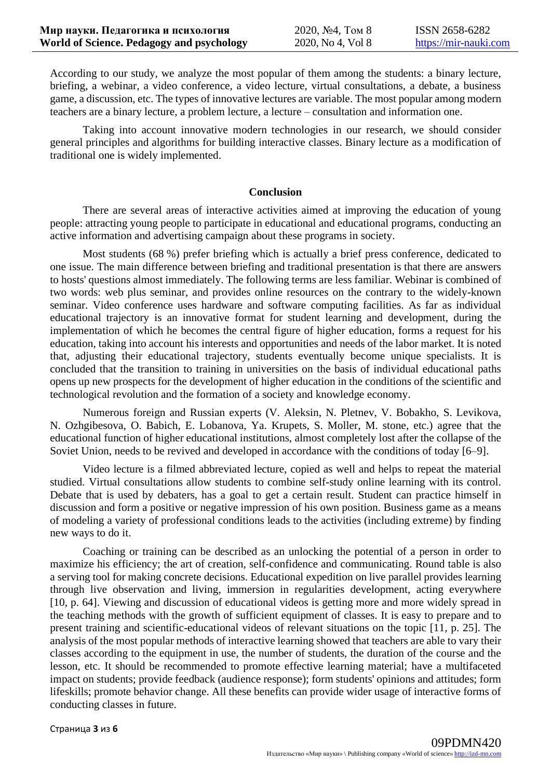According to our study, we analyze the most popular of them among the students: a binary lecture, briefing, a webinar, a video conference, a video lecture, virtual consultations, a debate, a business game, a discussion, etc. The types of innovative lectures are variable. The most popular among modern teachers are a binary lecture, a problem lecture, a lecture – consultation and information one.

Taking into account innovative modern technologies in our research, we should consider general principles and algorithms for building interactive classes. Binary lecture as a modification of traditional one is widely implemented.

#### **Conclusion**

There are several areas of interactive activities aimed at improving the education of young people: attracting young people to participate in educational and educational programs, conducting an active information and advertising campaign about these programs in society.

Most students (68 %) prefer briefing which is actually a brief press conference, dedicated to one issue. The main difference between briefing and traditional presentation is that there are answers to hosts' questions almost immediately. The following terms are less familiar. Webinar is combined of two words: web plus seminar, and provides online resources on the contrary to the widely-known seminar. Video conference uses hardware and software computing facilities. As far as individual educational trajectory is an innovative format for student learning and development, during the implementation of which he becomes the central figure of higher education, forms a request for his education, taking into account his interests and opportunities and needs of the labor market. It is noted that, adjusting their educational trajectory, students eventually become unique specialists. It is concluded that the transition to training in universities on the basis of individual educational paths opens up new prospects for the development of higher education in the conditions of the scientific and technological revolution and the formation of a society and knowledge economy.

Numerous foreign and Russian experts (V. Aleksin, N. Pletnev, V. Bobakho, S. Levikova, N. Ozhgibesova, O. Babich, E. Lobanova, Ya. Krupets, S. Moller, M. stone, etc.) agree that the educational function of higher educational institutions, almost completely lost after the collapse of the Soviet Union, needs to be revived and developed in accordance with the conditions of today [6–9].

Video lecture is a filmed abbreviated lecture, copied as well and helps to repeat the material studied. Virtual consultations allow students to combine self-study online learning with its control. Debate that is used by debaters, has a goal to get a certain result. Student can practice himself in discussion and form a positive or negative impression of his own position. Business game as a means of modeling a variety of professional conditions leads to the activities (including extreme) by finding new ways to do it.

Coaching or training can be described as an unlocking the potential of a person in order to maximize his efficiency; the art of creation, self-confidence and communicating. Round table is also a serving tool for making concrete decisions. Educational expedition on live parallel provides learning through live observation and living, immersion in regularities development, acting everywhere [10, p. 64]. Viewing and discussion of educational videos is getting more and more widely spread in the teaching methods with the growth of sufficient equipment of classes. It is easy to prepare and to present training and scientific-educational videos of relevant situations on the topic [11, p. 25]. The analysis of the most popular methods of interactive learning showed that teachers are able to vary their classes according to the equipment in use, the number of students, the duration of the course and the lesson, etc. It should be recommended to promote effective learning material; have a multifaceted impact on students; provide feedback (audience response); form students' opinions and attitudes; form lifeskills; promote behavior change. All these benefits can provide wider usage of interactive forms of conducting classes in future.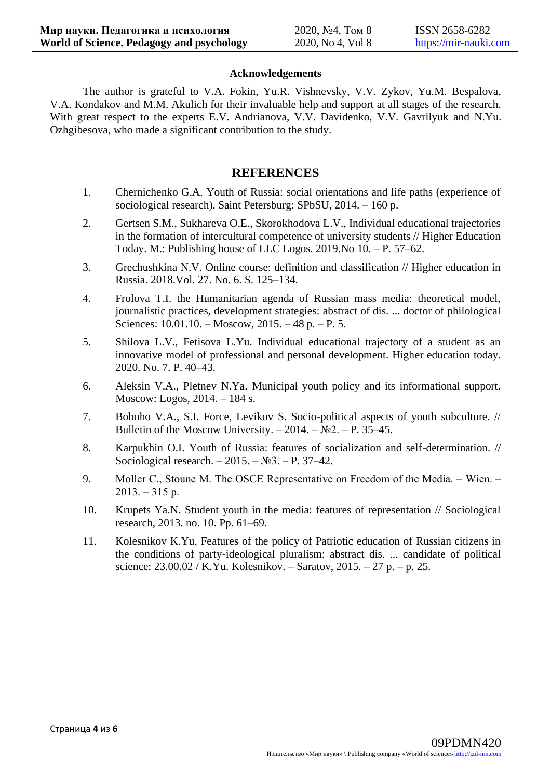### **Acknowledgements**

The author is grateful to V.A. Fokin, Yu.R. Vishnevsky, V.V. Zykov, Yu.M. Bespalova, V.A. Kondakov and M.M. Akulich for their invaluable help and support at all stages of the research. With great respect to the experts E.V. Andrianova, V.V. Davidenko, V.V. Gavrilyuk and N.Yu. Ozhgibesova, who made a significant contribution to the study.

## **REFERENCES**

- 1. Chernichenko G.A. Youth of Russia: social orientations and life paths (experience of sociological research). Saint Petersburg: SPbSU, 2014. – 160 p.
- 2. Gertsen S.M., Sukhareva O.E., Skorokhodova L.V., Individual educational trajectories in the formation of intercultural competence of university students // Higher Education Today. M.: Publishing house of LLC Logos. 2019.No 10. – P. 57–62.
- 3. Grechushkina N.V. Online course: definition and classification // Higher education in Russia. 2018.Vol. 27. No. 6. S. 125–134.
- 4. Frolova T.I. the Humanitarian agenda of Russian mass media: theoretical model, journalistic practices, development strategies: abstract of dis. ... doctor of philological Sciences: 10.01.10. – Moscow, 2015. – 48 p. – P. 5.
- 5. Shilova L.V., Fetisova L.Yu. Individual educational trajectory of a student as an innovative model of professional and personal development. Higher education today. 2020. No. 7. P. 40–43.
- 6. Aleksin V.A., Pletnev N.Ya. Municipal youth policy and its informational support. Moscow: Logos, 2014. – 184 s.
- 7. Boboho V.A., S.I. Force, Levikov S. Socio-political aspects of youth subculture. // Bulletin of the Moscow University. – 2014. –  $N_2$ . – P. 35–45.
- 8. Karpukhin O.I. Youth of Russia: features of socialization and self-determination. // Sociological research.  $-2015. - N_2^3$ . – P. 37–42.
- 9. Moller C., Stoune M. The OSCE Representative on Freedom of the Media. Wien.  $2013. - 315$  p.
- 10. Krupets Ya.N. Student youth in the media: features of representation // Sociological research, 2013. no. 10. Pp. 61–69.
- 11. Kolesnikov K.Yu. Features of the policy of Patriotic education of Russian citizens in the conditions of party-ideological pluralism: abstract dis. ... candidate of political science:  $23.00.02 / K.Yu$ . Kolesnikov. – Saratov,  $2015. - 27$  p. – p. 25.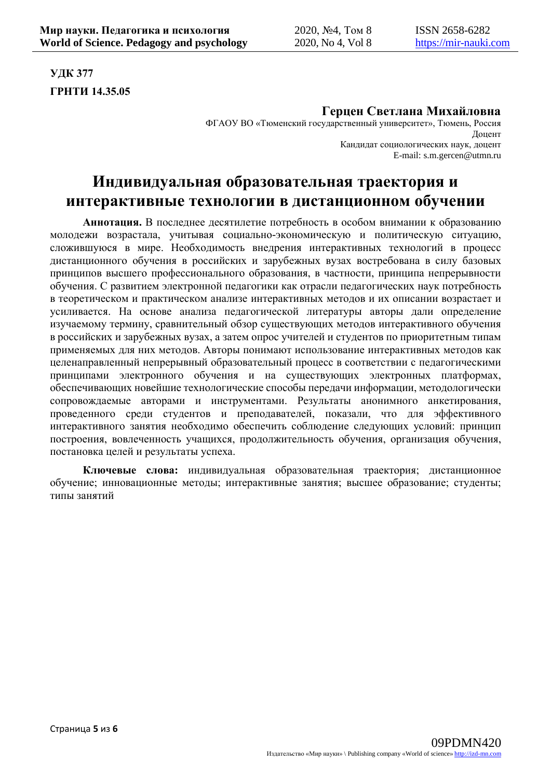**УДК 377 ГРНТИ 14.35.05**

## **Герцен Светлана Михайловна**

ФГАОУ ВО «Тюменский государственный университет», Тюмень, Россия Доцент Кандидат социологических наук, доцент E-mail: s.m.gercen@utmn.ru

# **Индивидуальная образовательная траектория и интерактивные технологии в дистанционном обучении**

**Аннотация.** В последнее десятилетие потребность в особом внимании к образованию молодежи возрастала, учитывая социально-экономическую и политическую ситуацию, сложившуюся в мире. Необходимость внедрения интерактивных технологий в процесс дистанционного обучения в российских и зарубежных вузах востребована в силу базовых принципов высшего профессионального образования, в частности, принципа непрерывности обучения. С развитием электронной педагогики как отрасли педагогических наук потребность в теоретическом и практическом анализе интерактивных методов и их описании возрастает и усиливается. На основе анализа педагогической литературы авторы дали определение изучаемому термину, сравнительный обзор существующих методов интерактивного обучения в российских и зарубежных вузах, а затем опрос учителей и студентов по приоритетным типам применяемых для них методов. Авторы понимают использование интерактивных методов как целенаправленный непрерывный образовательный процесс в соответствии с педагогическими принципами электронного обучения и на существующих электронных платформах, обеспечивающих новейшие технологические способы передачи информации, методологически сопровождаемые авторами и инструментами. Результаты анонимного анкетирования, проведенного среди студентов и преподавателей, показали, что для эффективного интерактивного занятия необходимо обеспечить соблюдение следующих условий: принцип построения, вовлеченность учащихся, продолжительность обучения, организация обучения, постановка целей и результаты успеха.

**Ключевые слова:** индивидуальная образовательная траектория; дистанционное обучение; инновационные методы; интерактивные занятия; высшее образование; студенты; типы занятий